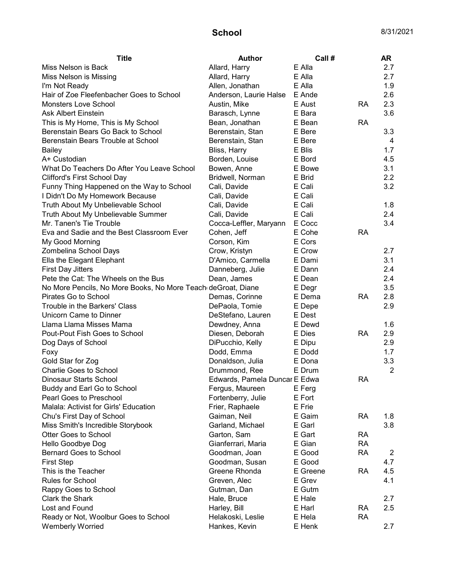| <b>Title</b>                                                 | <b>Author</b>                 | Call#    |           | AR             |
|--------------------------------------------------------------|-------------------------------|----------|-----------|----------------|
| Miss Nelson is Back                                          | Allard, Harry                 | E Alla   |           | 2.7            |
| Miss Nelson is Missing                                       | Allard, Harry                 | E Alla   |           | 2.7            |
| I'm Not Ready                                                | Allen, Jonathan               | E Alla   |           | 1.9            |
| Hair of Zoe Fleefenbacher Goes to School                     | Anderson, Laurie Halse        | E Ande   |           | 2.6            |
| <b>Monsters Love School</b>                                  | Austin, Mike                  | E Aust   | RA        | 2.3            |
| <b>Ask Albert Einstein</b>                                   | Barasch, Lynne                | E Bara   |           | 3.6            |
| This is My Home, This is My School                           | Bean, Jonathan                | E Bean   | <b>RA</b> |                |
| Berenstain Bears Go Back to School                           | Berenstain, Stan              | E Bere   |           | 3.3            |
| Berenstain Bears Trouble at School                           | Berenstain, Stan              | E Bere   |           | 4              |
| Bailey                                                       | Bliss, Harry                  | E Blis   |           | 1.7            |
| A+ Custodian                                                 | Borden, Louise                | E Bord   |           | 4.5            |
| What Do Teachers Do After You Leave School                   | Bowen, Anne                   | E Bowe   |           | 3.1            |
| <b>Clifford's First School Day</b>                           | Bridwell, Norman              | E Brid   |           | 2.2            |
| Funny Thing Happened on the Way to School                    | Cali, Davide                  | E Cali   |           | 3.2            |
| I Didn't Do My Homework Because                              | Cali, Davide                  | E Cali   |           |                |
| Truth About My Unbelievable School                           | Cali, Davide                  | E Cali   |           | 1.8            |
| Truth About My Unbelievable Summer                           | Cali, Davide                  | E Cali   |           | 2.4            |
| Mr. Tanen's Tie Trouble                                      | Cocca-Leffler, Maryann        | E Cocc   |           | 3.4            |
| Eva and Sadie and the Best Classroom Ever                    | Cohen, Jeff                   | E Cohe   | <b>RA</b> |                |
| My Good Morning                                              | Corson, Kim                   | E Cors   |           |                |
| Zombelina School Days                                        | Crow, Kristyn                 | E Crow   |           | 2.7            |
| Ella the Elegant Elephant                                    | D'Amico, Carmella             | E Dami   |           | 3.1            |
| <b>First Day Jitters</b>                                     | Danneberg, Julie              | E Dann   |           | 2.4            |
| Pete the Cat: The Wheels on the Bus                          | Dean, James                   | E Dean   |           | 2.4            |
| No More Pencils, No More Books, No More Teach deGroat, Diane |                               | E Degr   |           | 3.5            |
| Pirates Go to School                                         | Demas, Corinne                | E Dema   | <b>RA</b> | 2.8            |
| Trouble in the Barkers' Class                                | DePaola, Tomie                | E Depe   |           | 2.9            |
| Unicorn Came to Dinner                                       | DeStefano, Lauren             | E Dest   |           |                |
| Llama Llama Misses Mama                                      | Dewdney, Anna                 | E Dewd   |           | 1.6            |
| Pout-Pout Fish Goes to School                                | Diesen, Deborah               | E Dies   | <b>RA</b> | 2.9            |
| Dog Days of School                                           | DiPucchio, Kelly              | E Dipu   |           | 2.9            |
| Foxy                                                         | Dodd, Emma                    | E Dodd   |           | 1.7            |
| Gold Star for Zog                                            | Donaldson, Julia              | E Dona   |           | 3.3            |
| <b>Charlie Goes to School</b>                                | Drummond, Ree                 | E Drum   |           | $\overline{2}$ |
| Dinosaur Starts School                                       | Edwards, Pamela Duncar E Edwa |          | RA        |                |
| Buddy and Earl Go to School                                  | Fergus, Maureen               | E Ferg   |           |                |
| Pearl Goes to Preschool                                      | Fortenberry, Julie            | E Fort   |           |                |
| Malala: Activist for Girls' Education                        | Frier, Raphaele               | E Frie   |           |                |
| Chu's First Day of School                                    | Gaiman, Neil                  | E Gaim   | <b>RA</b> | 1.8            |
| Miss Smith's Incredible Storybook                            | Garland, Michael              | E Garl   |           | 3.8            |
| <b>Otter Goes to School</b>                                  | Garton, Sam                   | E Gart   | RA        |                |
| Hello Goodbye Dog                                            | Gianferrari, Maria            | E Gian   | <b>RA</b> |                |
| <b>Bernard Goes to School</b>                                | Goodman, Joan                 | E Good   | <b>RA</b> | 2              |
| <b>First Step</b>                                            | Goodman, Susan                | E Good   |           | 4.7            |
| This is the Teacher                                          | Greene Rhonda                 | E Greene | <b>RA</b> | 4.5            |
| Rules for School                                             | Greven, Alec                  | E Grev   |           | 4.1            |
| Rappy Goes to School                                         | Gutman, Dan                   | E Gutm   |           |                |
| Clark the Shark                                              | Hale, Bruce                   | E Hale   |           | 2.7            |
| Lost and Found                                               | Harley, Bill                  | E Harl   | <b>RA</b> | 2.5            |
| Ready or Not, Woolbur Goes to School                         | Helakoski, Leslie             | E Hela   | <b>RA</b> |                |
| <b>Wemberly Worried</b>                                      | Hankes, Kevin                 | E Henk   |           | 2.7            |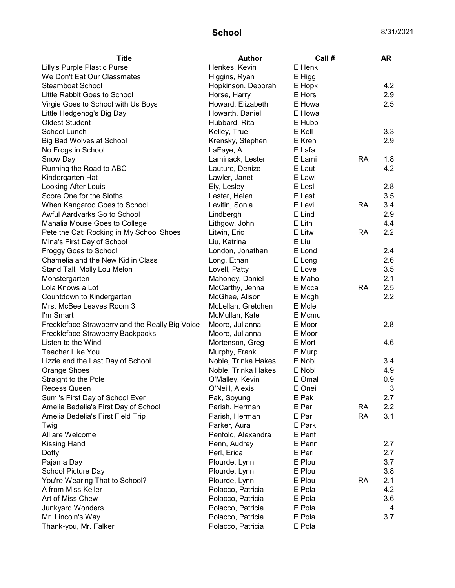| <b>Title</b>                                    | <b>Author</b>       | Call # |           | <b>AR</b> |
|-------------------------------------------------|---------------------|--------|-----------|-----------|
| Lilly's Purple Plastic Purse                    | Henkes, Kevin       | E Henk |           |           |
| We Don't Eat Our Classmates                     | Higgins, Ryan       | E Higg |           |           |
| <b>Steamboat School</b>                         | Hopkinson, Deborah  | E Hopk |           | 4.2       |
| Little Rabbit Goes to School                    | Horse, Harry        | E Hors |           | 2.9       |
| Virgie Goes to School with Us Boys              | Howard, Elizabeth   | E Howa |           | 2.5       |
| Little Hedgehog's Big Day                       | Howarth, Daniel     | E Howa |           |           |
| <b>Oldest Student</b>                           | Hubbard, Rita       | E Hubb |           |           |
| School Lunch                                    | Kelley, True        | E Kell |           | 3.3       |
| Big Bad Wolves at School                        | Krensky, Stephen    | E Kren |           | 2.9       |
| No Frogs in School                              | LaFaye, A.          | E Lafa |           |           |
| Snow Day                                        | Laminack, Lester    | E Lami | <b>RA</b> | 1.8       |
| Running the Road to ABC                         | Lauture, Denize     | E Laut |           | 4.2       |
| Kindergarten Hat                                | Lawler, Janet       | E Lawl |           |           |
| Looking After Louis                             | Ely, Lesley         | E Lesl |           | 2.8       |
| Score One for the Sloths                        | Lester, Helen       | E Lest |           | 3.5       |
| When Kangaroo Goes to School                    | Levitin, Sonia      | E Levi | <b>RA</b> | 3.4       |
| Awful Aardvarks Go to School                    | Lindbergh           | E Lind |           | 2.9       |
| Mahalia Mouse Goes to College                   | Lithgow, John       | E Lith |           | 4.4       |
| Pete the Cat: Rocking in My School Shoes        | Litwin, Eric        | E Litw | <b>RA</b> | 2.2       |
| Mina's First Day of School                      | Liu, Katrina        | E Liu  |           |           |
| <b>Froggy Goes to School</b>                    | London, Jonathan    | E Lond |           | 2.4       |
| Chamelia and the New Kid in Class               | Long, Ethan         | E Long |           | 2.6       |
| Stand Tall, Molly Lou Melon                     | Lovell, Patty       | E Love |           | 3.5       |
| Monstergarten                                   | Mahoney, Daniel     | E Maho |           | 2.1       |
| Lola Knows a Lot                                | McCarthy, Jenna     | E Mcca | <b>RA</b> | 2.5       |
| Countdown to Kindergarten                       | McGhee, Alison      | E Mcgh |           | 2.2       |
| Mrs. McBee Leaves Room 3                        | McLellan, Gretchen  | E Mcle |           |           |
| I'm Smart                                       | McMullan, Kate      | E Mcmu |           |           |
| Freckleface Strawberry and the Really Big Voice | Moore, Julianna     | E Moor |           | 2.8       |
| Freckleface Strawberry Backpacks                | Moore, Julianna     | E Moor |           |           |
| Listen to the Wind                              | Mortenson, Greg     | E Mort |           | 4.6       |
| Teacher Like You                                | Murphy, Frank       | E Murp |           |           |
| Lizzie and the Last Day of School               | Noble, Trinka Hakes | E Nobl |           | 3.4       |
| Orange Shoes                                    | Noble, Trinka Hakes | E Nobl |           | 4.9       |
| Straight to the Pole                            | O'Malley, Kevin     | E Omal |           | 0.9       |
| Recess Queen                                    | O'Neill, Alexis     | E Onei |           | 3         |
| Sumi's First Day of School Ever                 | Pak, Soyung         | E Pak  |           | 2.7       |
| Amelia Bedelia's First Day of School            | Parish, Herman      | E Pari | <b>RA</b> | 2.2       |
| Amelia Bedelia's First Field Trip               | Parish, Herman      | E Pari | <b>RA</b> | 3.1       |
| Twig                                            | Parker, Aura        | E Park |           |           |
| All are Welcome                                 | Penfold, Alexandra  | E Penf |           |           |
| <b>Kissing Hand</b>                             | Penn, Audrey        | E Penn |           | 2.7       |
| Dotty                                           | Perl, Erica         | E Perl |           | 2.7       |
| Pajama Day                                      | Plourde, Lynn       | E Plou |           | 3.7       |
| School Picture Day                              | Plourde, Lynn       | E Plou |           | 3.8       |
| You're Wearing That to School?                  | Plourde, Lynn       | E Plou | <b>RA</b> | 2.1       |
| A from Miss Keller                              | Polacco, Patricia   | E Pola |           | 4.2       |
| Art of Miss Chew                                | Polacco, Patricia   | E Pola |           | 3.6       |
| Junkyard Wonders                                | Polacco, Patricia   | E Pola |           | 4         |
| Mr. Lincoln's Way                               | Polacco, Patricia   | E Pola |           | 3.7       |
| Thank-you, Mr. Falker                           | Polacco, Patricia   | E Pola |           |           |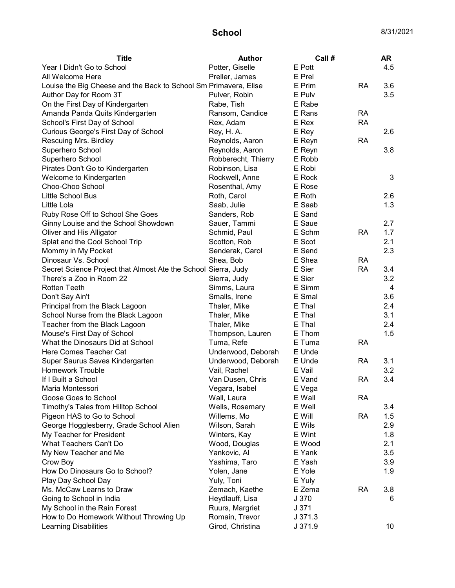| <b>Title</b>                                                     | <b>Author</b>       | Call#   |           | <b>AR</b> |
|------------------------------------------------------------------|---------------------|---------|-----------|-----------|
| Year I Didn't Go to School                                       | Potter, Giselle     | E Pott  |           | 4.5       |
| All Welcome Here                                                 | Preller, James      | E Prel  |           |           |
| Louise the Big Cheese and the Back to School Sm Primavera, Elise |                     | E Prim  | <b>RA</b> | 3.6       |
| Author Day for Room 3T                                           | Pulver, Robin       | E Pulv  |           | 3.5       |
| On the First Day of Kindergarten                                 | Rabe, Tish          | E Rabe  |           |           |
| Amanda Panda Quits Kindergarten                                  | Ransom, Candice     | E Rans  | <b>RA</b> |           |
| School's First Day of School                                     | Rex, Adam           | E Rex   | <b>RA</b> |           |
| Curious George's First Day of School                             | Rey, H. A.          | E Rey   |           | 2.6       |
| Rescuing Mrs. Birdley                                            | Reynolds, Aaron     | E Reyn  | <b>RA</b> |           |
| Superhero School                                                 | Reynolds, Aaron     | E Reyn  |           | 3.8       |
| Superhero School                                                 | Robberecht, Thierry | E Robb  |           |           |
| Pirates Don't Go to Kindergarten                                 | Robinson, Lisa      | E Robi  |           |           |
| Welcome to Kindergarten                                          | Rockwell, Anne      | E Rock  |           | 3         |
| Choo-Choo School                                                 | Rosenthal, Amy      | E Rose  |           |           |
| Little School Bus                                                | Roth, Carol         | E Roth  |           | 2.6       |
| Little Lola                                                      | Saab, Julie         | E Saab  |           | 1.3       |
| Ruby Rose Off to School She Goes                                 | Sanders, Rob        | E Sand  |           |           |
| Ginny Louise and the School Showdown                             | Sauer, Tammi        | E Saue  |           | 2.7       |
| Oliver and His Alligator                                         | Schmid, Paul        | E Schm  | <b>RA</b> | 1.7       |
| Splat and the Cool School Trip                                   | Scotton, Rob        | E Scot  |           | 2.1       |
| Mommy in My Pocket                                               | Senderak, Carol     | E Send  |           | 2.3       |
| Dinosaur Vs. School                                              | Shea, Bob           | E Shea  | <b>RA</b> |           |
| Secret Science Project that Almost Ate the School Sierra, Judy   |                     | E Sier  | <b>RA</b> | 3.4       |
| There's a Zoo in Room 22                                         | Sierra, Judy        | E Sier  |           | 3.2       |
| <b>Rotten Teeth</b>                                              | Simms, Laura        | E Simm  |           | 4         |
| Don't Say Ain't                                                  | Smalls, Irene       | E Smal  |           | 3.6       |
| Principal from the Black Lagoon                                  | Thaler, Mike        | E Thal  |           | 2.4       |
| School Nurse from the Black Lagoon                               | Thaler, Mike        | E Thal  |           | 3.1       |
| Teacher from the Black Lagoon                                    | Thaler, Mike        | E Thal  |           | 2.4       |
| Mouse's First Day of School                                      | Thompson, Lauren    | E Thom  |           | 1.5       |
| What the Dinosaurs Did at School                                 | Tuma, Refe          | E Tuma  | <b>RA</b> |           |
| Here Comes Teacher Cat                                           | Underwood, Deborah  | E Unde  |           |           |
| Super Saurus Saves Kindergarten                                  | Underwood, Deborah  | E Unde  | <b>RA</b> | 3.1       |
| <b>Homework Trouble</b>                                          | Vail, Rachel        | E Vail  |           | 3.2       |
| If I Built a School                                              | Van Dusen, Chris    | E Vand  | RA        | 3.4       |
| Maria Montessori                                                 | Vegara, Isabel      | E Vega  |           |           |
| Goose Goes to School                                             | Wall, Laura         | E Wall  | RA        |           |
| Timothy's Tales from Hilltop School                              | Wells, Rosemary     | E Well  |           | 3.4       |
| Pigeon HAS to Go to School                                       | Willems, Mo         | E Will  | <b>RA</b> | 1.5       |
| George Hogglesberry, Grade School Alien                          | Wilson, Sarah       | E Wils  |           | 2.9       |
| My Teacher for President                                         | Winters, Kay        | E Wint  |           | 1.8       |
| What Teachers Can't Do                                           | Wood, Douglas       | E Wood  |           | 2.1       |
| My New Teacher and Me                                            | Yankovic, Al        | E Yank  |           | 3.5       |
| Crow Boy                                                         | Yashima, Taro       | E Yash  |           | 3.9       |
| How Do Dinosaurs Go to School?                                   | Yolen, Jane         | E Yole  |           | 1.9       |
| Play Day School Day                                              | Yuly, Toni          | E Yuly  |           |           |
| Ms. McCaw Learns to Draw                                         | Zemach, Kaethe      | E Zema  | <b>RA</b> | 3.8       |
| Going to School in India                                         | Heydlauff, Lisa     | J 370   |           | 6         |
| My School in the Rain Forest                                     | Ruurs, Margriet     | J 371   |           |           |
| How to Do Homework Without Throwing Up                           | Romain, Trevor      | J371.3  |           |           |
| <b>Learning Disabilities</b>                                     | Girod, Christina    | J 371.9 |           | 10        |
|                                                                  |                     |         |           |           |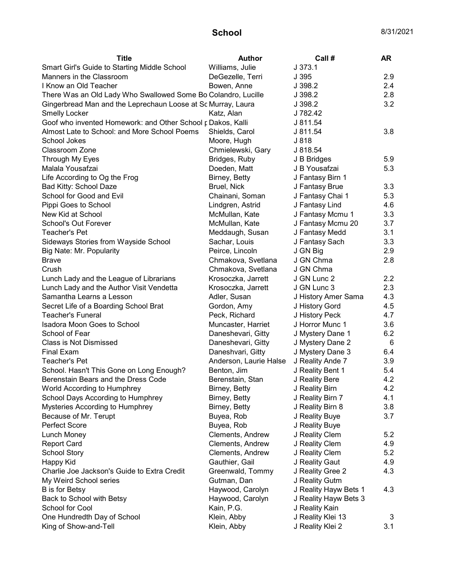| <b>Title</b>                                                  | <b>Author</b>          | Call#                 | <b>AR</b> |
|---------------------------------------------------------------|------------------------|-----------------------|-----------|
| Smart Girl's Guide to Starting Middle School                  | Williams, Julie        | J.373.1               |           |
| Manners in the Classroom                                      | DeGezelle, Terri       | J 395                 | 2.9       |
| I Know an Old Teacher                                         | Bowen, Anne            | J 398.2               | 2.4       |
| There Was an Old Lady Who Swallowed Some Bo Colandro, Lucille |                        | J 398.2               | 2.8       |
| Gingerbread Man and the Leprechaun Loose at Sc Murray, Laura  |                        | J 398.2               | 3.2       |
| <b>Smelly Locker</b>                                          | Katz, Alan             | J 782.42              |           |
| Goof who invented Homework: and Other School r Dakos, Kalli   |                        | J 811.54              |           |
| Almost Late to School: and More School Poems                  | Shields, Carol         | J 811.54              | 3.8       |
| School Jokes                                                  | Moore, Hugh            | J 818                 |           |
| Classroom Zone                                                | Chmielewski, Gary      | J 818.54              |           |
| Through My Eyes                                               | Bridges, Ruby          | J B Bridges           | 5.9       |
| Malala Yousafzai                                              | Doeden, Matt           | J B Yousafzai         | 5.3       |
| Life According to Og the Frog                                 | Birney, Betty          | J Fantasy Birn 1      |           |
| Bad Kitty: School Daze                                        | Bruel, Nick            | J Fantasy Brue        | 3.3       |
| School for Good and Evil                                      | Chainani, Soman        | J Fantasy Chai 1      | 5.3       |
| Pippi Goes to School                                          | Lindgren, Astrid       | J Fantasy Lind        | 4.6       |
| New Kid at School                                             | McMullan, Kate         | J Fantasy Mcmu 1      | 3.3       |
| School's Out Forever                                          | McMullan, Kate         | J Fantasy Mcmu 20     | 3.7       |
| Teacher's Pet                                                 | Meddaugh, Susan        | J Fantasy Medd        | 3.1       |
| Sideways Stories from Wayside School                          | Sachar, Louis          | J Fantasy Sach        | 3.3       |
| Big Nate: Mr. Popularity                                      | Peirce, Lincoln        | J GN Big              | 2.9       |
| <b>Brave</b>                                                  | Chmakova, Svetlana     | J GN Chma             | 2.8       |
| Crush                                                         | Chmakova, Svetlana     | J GN Chma             |           |
| Lunch Lady and the League of Librarians                       | Krosoczka, Jarrett     | J GN Lunc 2           | 2.2       |
| Lunch Lady and the Author Visit Vendetta                      | Krosoczka, Jarrett     | J GN Lunc 3           | 2.3       |
| Samantha Learns a Lesson                                      | Adler, Susan           | J History Amer Sama   | 4.3       |
| Secret Life of a Boarding School Brat                         | Gordon, Amy            | J History Gord        | 4.5       |
| <b>Teacher's Funeral</b>                                      | Peck, Richard          | J History Peck        | 4.7       |
| Isadora Moon Goes to School                                   | Muncaster, Harriet     | J Horror Munc 1       | 3.6       |
| School of Fear                                                | Daneshevari, Gitty     | J Mystery Dane 1      | 6.2       |
| <b>Class is Not Dismissed</b>                                 | Daneshevari, Gitty     | J Mystery Dane 2      | 6         |
| <b>Final Exam</b>                                             | Daneshvari, Gitty      | J Mystery Dane 3      | 6.4       |
| Teacher's Pet                                                 | Anderson, Laurie Halse | J Reality Ande 7      | 3.9       |
| School. Hasn't This Gone on Long Enough?                      | Benton, Jim            | J Reality Bent 1      | 5.4       |
| Berenstain Bears and the Dress Code                           | Berenstain, Stan       | J Reality Bere        | 4.2       |
| World According to Humphrey                                   | Birney, Betty          | J Reality Birn        | 4.2       |
| School Days According to Humphrey                             | Birney, Betty          | J Reality Birn 7      | 4.1       |
| Mysteries According to Humphrey                               | Birney, Betty          | J Reality Birn 8      | 3.8       |
| Because of Mr. Terupt                                         | Buyea, Rob             | J Reality Buye        | 3.7       |
| Perfect Score                                                 | Buyea, Rob             | J Reality Buye        |           |
| Lunch Money                                                   | Clements, Andrew       | J Reality Clem        | 5.2       |
| <b>Report Card</b>                                            | Clements, Andrew       | J Reality Clem        | 4.9       |
| School Story                                                  | Clements, Andrew       | J Reality Clem        | 5.2       |
| <b>Happy Kid</b>                                              | Gauthier, Gail         | J Reality Gaut        | 4.9       |
| Charlie Joe Jackson's Guide to Extra Credit                   | Greenwald, Tommy       | J Reality Gree 2      | 4.3       |
| My Weird School series                                        | Gutman, Dan            | J Reality Gutm        |           |
| <b>B</b> is for Betsy                                         | Haywood, Carolyn       | J Reality Hayw Bets 1 | 4.3       |
| Back to School with Betsy                                     | Haywood, Carolyn       | J Reality Hayw Bets 3 |           |
| School for Cool                                               | Kain, P.G.             | J Reality Kain        |           |
| One Hundredth Day of School                                   | Klein, Abby            | J Reality Klei 13     | 3         |
| King of Show-and-Tell                                         | Klein, Abby            | J Reality Klei 2      | 3.1       |
|                                                               |                        |                       |           |